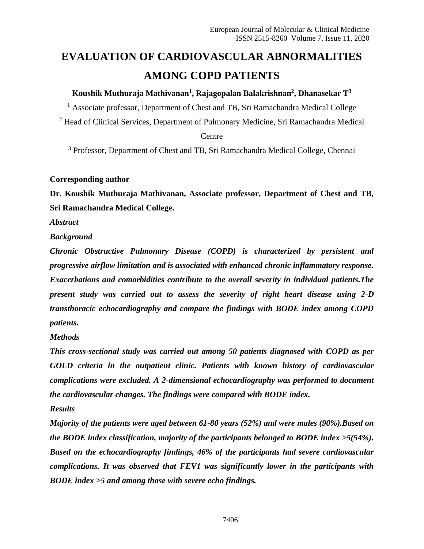# **EVALUATION OF CARDIOVASCULAR ABNORMALITIES AMONG COPD PATIENTS**

# **Koushik Muthuraja Mathivanan<sup>1</sup> , Rajagopalan Balakrishnan<sup>2</sup> , Dhanasekar T<sup>3</sup>**

<sup>1</sup> Associate professor, Department of Chest and TB, Sri Ramachandra Medical College

<sup>2</sup> Head of Clinical Services, Department of Pulmonary Medicine, Sri Ramachandra Medical **Centre** 

<sup>3</sup> Professor, Department of Chest and TB, Sri Ramachandra Medical College, Chennai

# **Corresponding author**

**Dr. Koushik Muthuraja Mathivanan, Associate professor, Department of Chest and TB, Sri Ramachandra Medical College.** 

*Abstract* 

# *Background*

*Chronic Obstructive Pulmonary Disease (COPD) is characterized by persistent and progressive airflow limitation and is associated with enhanced chronic inflammatory response. Exacerbations and comorbidities contribute to the overall severity in individual patients.The present study was carried out to assess the severity of right heart disease using 2-D transthoracic echocardiography and compare the findings with BODE index among COPD patients.* 

*Methods* 

*This cross-sectional study was carried out among 50 patients diagnosed with COPD as per GOLD criteria in the outpatient clinic. Patients with known history of cardiovascular complications were excluded. A 2-dimensional echocardiography was performed to document the cardiovascular changes. The findings were compared with BODE index.*

# *Results*

*Majority of the patients were aged between 61-80 years (52%) and were males (90%).Based on the BODE index classification, majority of the participants belonged to BODE index >5(54%). Based on the echocardiography findings, 46% of the participants had severe cardiovascular complications. It was observed that FEV1 was significantly lower in the participants with BODE index >5 and among those with severe echo findings.*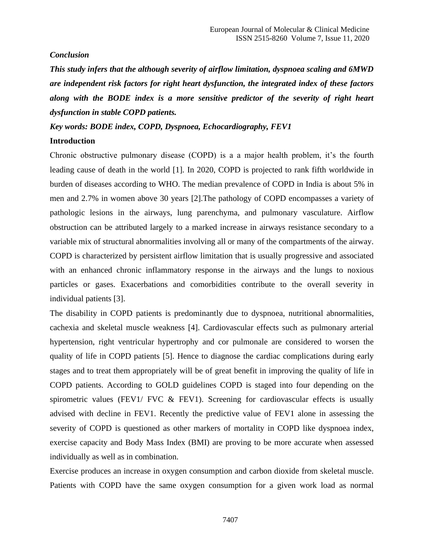#### *Conclusion*

*This study infers that the although severity of airflow limitation, dyspnoea scaling and 6MWD are independent risk factors for right heart dysfunction, the integrated index of these factors along with the BODE index is a more sensitive predictor of the severity of right heart dysfunction in stable COPD patients.*

*Key words: BODE index, COPD, Dyspnoea, Echocardiography, FEV1*

### **Introduction**

Chronic obstructive pulmonary disease (COPD) is a a major health problem, it's the fourth leading cause of death in the world [1]. In 2020, COPD is projected to rank fifth worldwide in burden of diseases according to WHO. The median prevalence of COPD in India is about 5% in men and 2.7% in women above 30 years [2].The pathology of COPD encompasses a variety of pathologic lesions in the airways, lung parenchyma, and pulmonary vasculature. Airflow obstruction can be attributed largely to a marked increase in airways resistance secondary to a variable mix of structural abnormalities involving all or many of the compartments of the airway. COPD is characterized by persistent airflow limitation that is usually progressive and associated with an enhanced chronic inflammatory response in the airways and the lungs to noxious particles or gases. Exacerbations and comorbidities contribute to the overall severity in individual patients [3].

The disability in COPD patients is predominantly due to dyspnoea, nutritional abnormalities, cachexia and skeletal muscle weakness [4]. Cardiovascular effects such as pulmonary arterial hypertension, right ventricular hypertrophy and cor pulmonale are considered to worsen the quality of life in COPD patients [5]. Hence to diagnose the cardiac complications during early stages and to treat them appropriately will be of great benefit in improving the quality of life in COPD patients. According to GOLD guidelines COPD is staged into four depending on the spirometric values (FEV1/ FVC & FEV1). Screening for cardiovascular effects is usually advised with decline in FEV1. Recently the predictive value of FEV1 alone in assessing the severity of COPD is questioned as other markers of mortality in COPD like dyspnoea index, exercise capacity and Body Mass Index (BMI) are proving to be more accurate when assessed individually as well as in combination.

Exercise produces an increase in oxygen consumption and carbon dioxide from skeletal muscle. Patients with COPD have the same oxygen consumption for a given work load as normal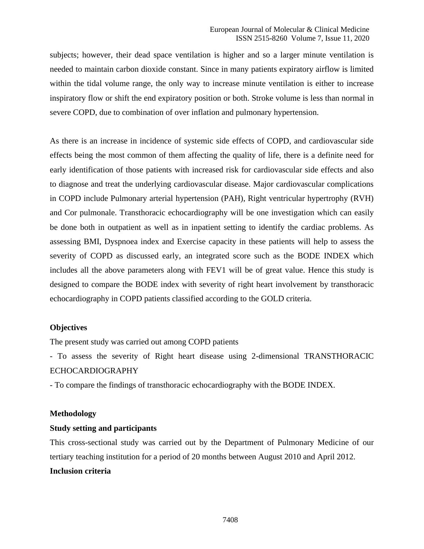subjects; however, their dead space ventilation is higher and so a larger minute ventilation is needed to maintain carbon dioxide constant. Since in many patients expiratory airflow is limited within the tidal volume range, the only way to increase minute ventilation is either to increase inspiratory flow or shift the end expiratory position or both. Stroke volume is less than normal in severe COPD, due to combination of over inflation and pulmonary hypertension.

As there is an increase in incidence of systemic side effects of COPD, and cardiovascular side effects being the most common of them affecting the quality of life, there is a definite need for early identification of those patients with increased risk for cardiovascular side effects and also to diagnose and treat the underlying cardiovascular disease. Major cardiovascular complications in COPD include Pulmonary arterial hypertension (PAH), Right ventricular hypertrophy (RVH) and Cor pulmonale. Transthoracic echocardiography will be one investigation which can easily be done both in outpatient as well as in inpatient setting to identify the cardiac problems. As assessing BMI, Dyspnoea index and Exercise capacity in these patients will help to assess the severity of COPD as discussed early, an integrated score such as the BODE INDEX which includes all the above parameters along with FEV1 will be of great value. Hence this study is designed to compare the BODE index with severity of right heart involvement by transthoracic echocardiography in COPD patients classified according to the GOLD criteria.

### **Objectives**

The present study was carried out among COPD patients

- To assess the severity of Right heart disease using 2-dimensional TRANSTHORACIC ECHOCARDIOGRAPHY

- To compare the findings of transthoracic echocardiography with the BODE INDEX.

#### **Methodology**

### **Study setting and participants**

This cross-sectional study was carried out by the Department of Pulmonary Medicine of our tertiary teaching institution for a period of 20 months between August 2010 and April 2012. **Inclusion criteria**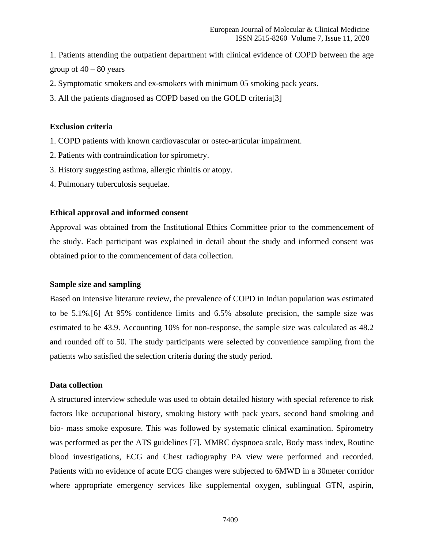1. Patients attending the outpatient department with clinical evidence of COPD between the age group of  $40 - 80$  years

- 2. Symptomatic smokers and ex-smokers with minimum 05 smoking pack years.
- 3. All the patients diagnosed as COPD based on the GOLD criteria[3]

#### **Exclusion criteria**

- 1. COPD patients with known cardiovascular or osteo-articular impairment.
- 2. Patients with contraindication for spirometry.
- 3. History suggesting asthma, allergic rhinitis or atopy.
- 4. Pulmonary tuberculosis sequelae.

#### **Ethical approval and informed consent**

Approval was obtained from the Institutional Ethics Committee prior to the commencement of the study. Each participant was explained in detail about the study and informed consent was obtained prior to the commencement of data collection.

#### **Sample size and sampling**

Based on intensive literature review, the prevalence of COPD in Indian population was estimated to be 5.1%.[6] At 95% confidence limits and 6.5% absolute precision, the sample size was estimated to be 43.9. Accounting 10% for non-response, the sample size was calculated as 48.2 and rounded off to 50. The study participants were selected by convenience sampling from the patients who satisfied the selection criteria during the study period.

### **Data collection**

A structured interview schedule was used to obtain detailed history with special reference to risk factors like occupational history, smoking history with pack years, second hand smoking and bio- mass smoke exposure. This was followed by systematic clinical examination. Spirometry was performed as per the ATS guidelines [7]. MMRC dyspnoea scale, Body mass index, Routine blood investigations, ECG and Chest radiography PA view were performed and recorded. Patients with no evidence of acute ECG changes were subjected to 6MWD in a 30meter corridor where appropriate emergency services like supplemental oxygen, sublingual GTN, aspirin,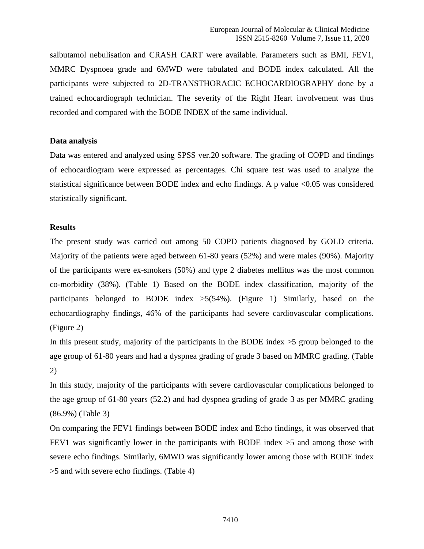salbutamol nebulisation and CRASH CART were available. Parameters such as BMI, FEV1, MMRC Dyspnoea grade and 6MWD were tabulated and BODE index calculated. All the participants were subjected to 2D-TRANSTHORACIC ECHOCARDIOGRAPHY done by a trained echocardiograph technician. The severity of the Right Heart involvement was thus recorded and compared with the BODE INDEX of the same individual.

#### **Data analysis**

Data was entered and analyzed using SPSS ver.20 software. The grading of COPD and findings of echocardiogram were expressed as percentages. Chi square test was used to analyze the statistical significance between BODE index and echo findings. A p value  $\leq 0.05$  was considered statistically significant.

#### **Results**

The present study was carried out among 50 COPD patients diagnosed by GOLD criteria. Majority of the patients were aged between 61-80 years (52%) and were males (90%). Majority of the participants were ex-smokers (50%) and type 2 diabetes mellitus was the most common co-morbidity (38%). (Table 1) Based on the BODE index classification, majority of the participants belonged to BODE index  $>5(54%)$ . (Figure 1) Similarly, based on the echocardiography findings, 46% of the participants had severe cardiovascular complications. (Figure 2)

In this present study, majority of the participants in the BODE index >5 group belonged to the age group of 61-80 years and had a dyspnea grading of grade 3 based on MMRC grading. (Table 2)

In this study, majority of the participants with severe cardiovascular complications belonged to the age group of 61-80 years (52.2) and had dyspnea grading of grade 3 as per MMRC grading (86.9%) (Table 3)

On comparing the FEV1 findings between BODE index and Echo findings, it was observed that FEV1 was significantly lower in the participants with BODE index >5 and among those with severe echo findings. Similarly, 6MWD was significantly lower among those with BODE index >5 and with severe echo findings. (Table 4)

7410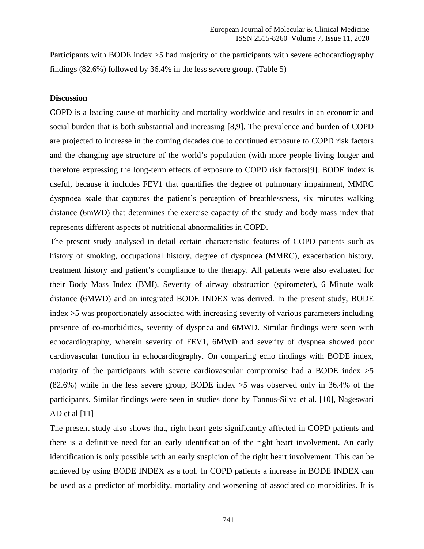Participants with BODE index >5 had majority of the participants with severe echocardiography findings (82.6%) followed by 36.4% in the less severe group. (Table 5)

#### **Discussion**

COPD is a leading cause of morbidity and mortality worldwide and results in an economic and social burden that is both substantial and increasing [8,9]. The prevalence and burden of COPD are projected to increase in the coming decades due to continued exposure to COPD risk factors and the changing age structure of the world's population (with more people living longer and therefore expressing the long-term effects of exposure to COPD risk factors[9]. BODE index is useful, because it includes FEV1 that quantifies the degree of pulmonary impairment, MMRC dyspnoea scale that captures the patient's perception of breathlessness, six minutes walking distance (6mWD) that determines the exercise capacity of the study and body mass index that represents different aspects of nutritional abnormalities in COPD.

The present study analysed in detail certain characteristic features of COPD patients such as history of smoking, occupational history, degree of dyspnoea (MMRC), exacerbation history, treatment history and patient's compliance to the therapy. All patients were also evaluated for their Body Mass Index (BMI), Severity of airway obstruction (spirometer), 6 Minute walk distance (6MWD) and an integrated BODE INDEX was derived. In the present study, BODE index >5 was proportionately associated with increasing severity of various parameters including presence of co-morbidities, severity of dyspnea and 6MWD. Similar findings were seen with echocardiography, wherein severity of FEV1, 6MWD and severity of dyspnea showed poor cardiovascular function in echocardiography. On comparing echo findings with BODE index, majority of the participants with severe cardiovascular compromise had a BODE index  $>5$ (82.6%) while in the less severe group, BODE index >5 was observed only in 36.4% of the participants. Similar findings were seen in studies done by Tannus-Silva et al. [10], Nageswari AD et al [11]

The present study also shows that, right heart gets significantly affected in COPD patients and there is a definitive need for an early identification of the right heart involvement. An early identification is only possible with an early suspicion of the right heart involvement. This can be achieved by using BODE INDEX as a tool. In COPD patients a increase in BODE INDEX can be used as a predictor of morbidity, mortality and worsening of associated co morbidities. It is

7411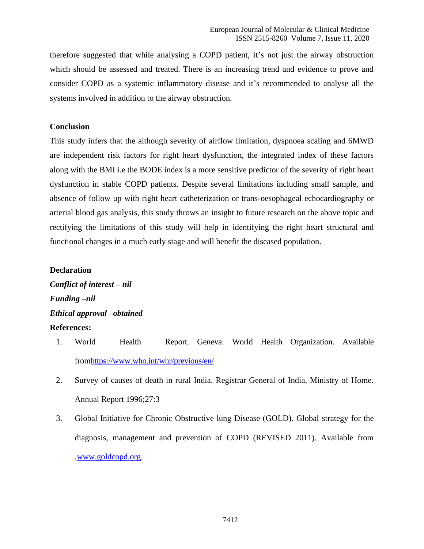therefore suggested that while analysing a COPD patient, it's not just the airway obstruction which should be assessed and treated. There is an increasing trend and evidence to prove and consider COPD as a systemic inflammatory disease and it's recommended to analyse all the systems involved in addition to the airway obstruction.

#### **Conclusion**

This study infers that the although severity of airflow limitation, dyspnoea scaling and 6MWD are independent risk factors for right heart dysfunction, the integrated index of these factors along with the BMI i.e the BODE index is a more sensitive predictor of the severity of right heart dysfunction in stable COPD patients. Despite several limitations including small sample, and absence of follow up with right heart catheterization or trans-oesophageal echocardiography or arterial blood gas analysis, this study throws an insight to future research on the above topic and rectifying the limitations of this study will help in identifying the right heart structural and functional changes in a much early stage and will benefit the diseased population.

#### **Declaration**

*Conflict of interest – nil Funding –nil Ethical approval –obtained*  **References:**

- 1. World Health Report. Geneva: World Health Organization. Available fro[mhttps://www.who.int/whr/previous/en/](https://www.who.int/whr/previous/en/)
- 2. Survey of causes of death in rural India. Registrar General of India, Ministry of Home. Annual Report 1996;27:3
- 3. Global Initiative for Chronic Obstructive lung Disease (GOLD). Global strategy for the diagnosis, management and prevention of COPD (REVISED 2011). Available from [,www.goldcopd.org.](http://www.goldcopd.org/)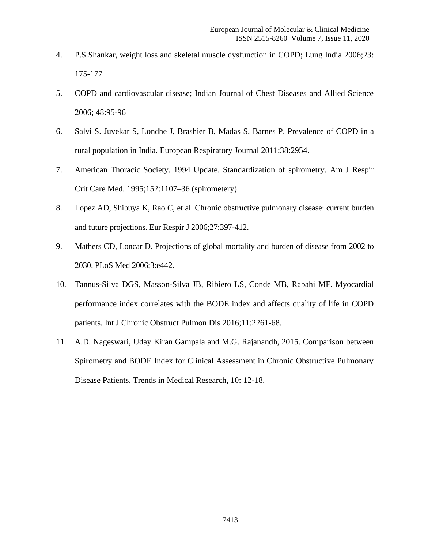- 4. P.S.Shankar, weight loss and skeletal muscle dysfunction in COPD; Lung India 2006;23: 175-177
- 5. COPD and cardiovascular disease; Indian Journal of Chest Diseases and Allied Science 2006; 48:95-96
- 6. Salvi S. Juvekar S, Londhe J, Brashier B, Madas S, Barnes P. Prevalence of COPD in a rural population in India. European Respiratory Journal 2011;38:2954.
- 7. American Thoracic Society. 1994 Update. Standardization of spirometry. Am J Respir Crit Care Med. 1995;152:1107–36 (spirometery)
- 8. Lopez AD, Shibuya K, Rao C, et al. Chronic obstructive pulmonary disease: current burden and future projections. Eur Respir J 2006;27:397-412.
- 9. Mathers CD, Loncar D. Projections of global mortality and burden of disease from 2002 to 2030. PLoS Med 2006;3:e442.
- 10. Tannus-Silva DGS, Masson-Silva JB, Ribiero LS, Conde MB, Rabahi MF. Myocardial performance index correlates with the BODE index and affects quality of life in COPD patients. Int J Chronic Obstruct Pulmon Dis 2016;11:2261-68.
- 11. A.D. Nageswari, Uday Kiran Gampala and M.G. Rajanandh, 2015. Comparison between Spirometry and BODE Index for Clinical Assessment in Chronic Obstructive Pulmonary Disease Patients. Trends in Medical Research, 10: 12-18.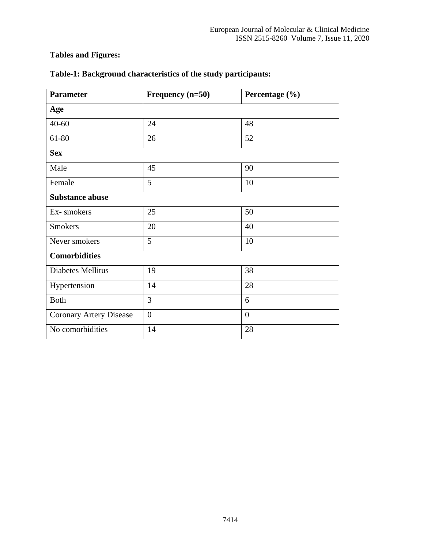# **Tables and Figures:**

| <b>Parameter</b>        | Frequency $(n=50)$ | Percentage (%) |  |  |
|-------------------------|--------------------|----------------|--|--|
| Age                     |                    |                |  |  |
| $40 - 60$               | 24                 | 48             |  |  |
| 61-80                   | 26                 | 52             |  |  |
| <b>Sex</b>              |                    |                |  |  |
| Male                    | 45                 | 90             |  |  |
| Female                  | 5                  | 10             |  |  |
| <b>Substance abuse</b>  |                    |                |  |  |
| Ex-smokers              | 25                 | 50             |  |  |
| <b>Smokers</b>          | 20                 | 40             |  |  |
| Never smokers           | 5                  | 10             |  |  |
| <b>Comorbidities</b>    |                    |                |  |  |
| Diabetes Mellitus       | 19                 | 38             |  |  |
| Hypertension            | 14                 | 28             |  |  |
| <b>Both</b>             | 3                  | 6              |  |  |
| Coronary Artery Disease | $\boldsymbol{0}$   | $\overline{0}$ |  |  |
| No comorbidities        | 14                 | 28             |  |  |

# **Table-1: Background characteristics of the study participants:**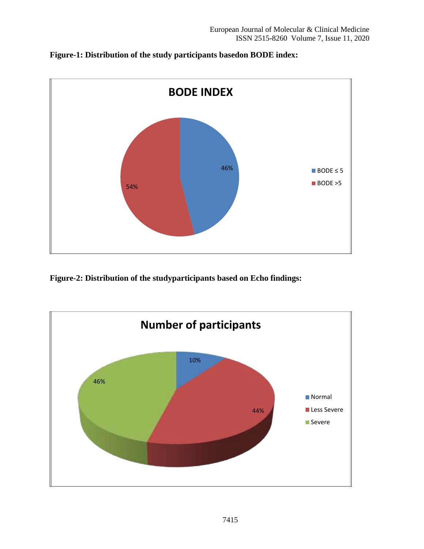



**Figure-2: Distribution of the studyparticipants based on Echo findings:**

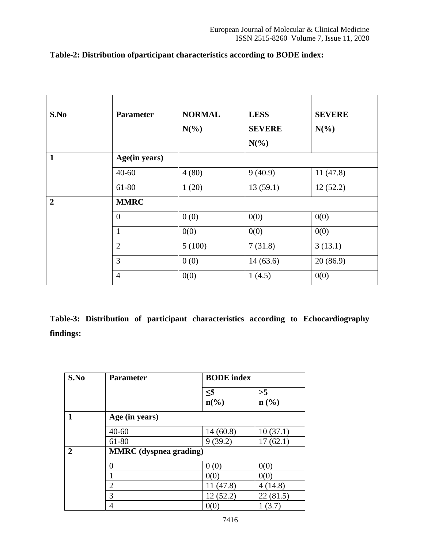| S.No           | <b>Parameter</b> | <b>NORMAL</b><br>$N(\%)$ | <b>LESS</b><br><b>SEVERE</b><br>$N(\%)$ | <b>SEVERE</b><br>$N(\%)$ |
|----------------|------------------|--------------------------|-----------------------------------------|--------------------------|
| $\mathbf{1}$   | Age(in years)    |                          |                                         |                          |
|                | $40 - 60$        | 4(80)                    | 9(40.9)                                 | 11(47.8)                 |
|                | 61-80            | 1(20)                    | 13(59.1)                                | 12(52.2)                 |
| $\overline{2}$ | <b>MMRC</b>      |                          |                                         |                          |
|                | $\overline{0}$   | 0(0)                     | 0(0)                                    | 0(0)                     |
|                | $\mathbf{1}$     | 0(0)                     | 0(0)                                    | 0(0)                     |
|                | $\overline{2}$   | 5(100)                   | 7(31.8)                                 | 3(13.1)                  |
|                | 3                | 0(0)                     | 14(63.6)                                | 20(86.9)                 |
|                | $\overline{4}$   | 0(0)                     | 1(4.5)                                  | 0(0)                     |

# **Table-2: Distribution ofparticipant characteristics according to BODE index:**

**Table-3: Distribution of participant characteristics according to Echocardiography findings:**

| S.No | <b>Parameter</b>              | <b>BODE</b> index                       |                                   |
|------|-------------------------------|-----------------------------------------|-----------------------------------|
|      |                               | $\leq 5$<br>$n\left(\frac{6}{6}\right)$ | >5<br>$n\left(\frac{0}{0}\right)$ |
|      | Age (in years)                |                                         |                                   |
|      | $40 - 60$                     | 14(60.8)                                | 10(37.1)                          |
|      | 61-80                         | 9(39.2)                                 | 17(62.1)                          |
| 2    | <b>MMRC</b> (dyspnea grading) |                                         |                                   |
|      | 0                             | 0(0)                                    | 0(0)                              |
|      |                               | 0(0)                                    | 0(0)                              |
|      | $\overline{2}$                | 11(47.8)                                | 4(14.8)                           |
|      | 3                             | 12(52.2)                                | 22(81.5)                          |
|      | 4                             | 0(0                                     | (3.7)                             |